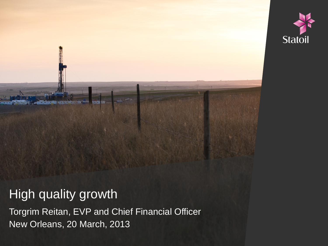

#### **High quality growth**

Torgrim Reitan, EVP and Chief Financial Officer New Orleans, 20 March, 2013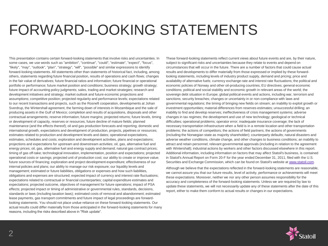#### FORWARD-LOOKING STATEMENTS

This presentation contains certain forward-looking statements that involve risks and uncertainties. In some cases, we use words such as "ambition", "continue", "could", "estimate", "expect", "focus", "likely", "may", "outlook", "plan", "strategy", "will", "possible" and similar expressions to identify forward-looking statements. All statements other than statements of historical fact, including, among others, statements regarding future financial position, results of operations and cash flows; changes in the fair value of derivatives; future financial ratios and information; future financial or operational portfolio or performance; future market position and conditions; business strategy; growth strategy; future impact of accounting policy judgments; sales, trading and market strategies; research and development initiatives and strategy; market outlook and future economic projections and assumptions; competitive position; projected regularity and performance levels; expectations related to our recent transactions and projects, such as the Rosneft cooperation, developments at Johan Sverdrup, the Wintershall agreement, the farming down of interests in Mozambique and the sale of producing assets in the Gulf of Mexico; completion and results of acquisitions, disposals and other contractual arrangements; reserve information; future margins; projected returns; future levels, timing or development of capacity, reserves or resources; future decline of mature fields; planned maintenance (and the effects thereof); oil and gas production forecasts and reporting; domestic and international growth, expectations and development of production, projects, pipelines or resources; estimates related to production and development levels and dates; operational expectations, estimates, schedules and costs; exploration and development activities, plans and expectations; projections and expectations for upstream and downstream activities; oil, gas, alternative fuel and energy prices; oil, gas, alternative fuel and energy supply and demand; natural gas contract prices; timing of gas off-take; technological innovation, implementation, position and expectations; projected operational costs or savings; projected unit of production cost; our ability to create or improve value; future sources of financing; exploration and project development expenditure; effectiveness of our internal policies and plans; our ability to manage our risk exposure; our liquidity levels and management; estimated or future liabilities, obligations or expenses and how such liabilities, obligations and expenses are structured; expected impact of currency and interest rate fluctuations; expectations related to contractual or financial counterparties; capital expenditure estimates and expectations; projected outcome, objectives of management for future operations; impact of PSA effects; projected impact or timing of administrative or governmental rules, standards, decisions, standards or laws (including taxation laws); estimated costs of removal and abandonment; estimated lease payments, gas transport commitments and future impact of legal proceedings are forwardlooking statements. You should not place undue reliance on these forward-looking statements. Our actual results could differ materially from those anticipated in the forward-looking statements for many reasons, including the risks described above in "Risk update".

These forward-looking statements reflect current views about future events and are, by their nature, subject to significant risks and uncertainties because they relate to events and depend on circumstances that will occur in the future. There are a number of factors that could cause actual results and developments to differ materially from those expressed or implied by these forwardlooking statements, including levels of industry product supply, demand and pricing; price and availability of alternative fuels; currency exchange rate and interest rate fluctuations; the political and economic policies of Norway and other oil-producing countries; EU directives; general economic conditions; political and social stability and economic growth in relevant areas of the world; the sovereign debt situation in Europe; global political events and actions, including war, terrorism and sanctions; security breaches; changes or uncertainty in or non-compliance with laws and governmental regulations; the timing of bringing new fields on stream; an inability to exploit growth or investment opportunities; material differences from reserves estimates; unsuccessful drilling; an inability to find and develop reserves; ineffectiveness of crisis management systems; adverse changes in tax regimes; the development and use of new technology; geological or technical difficulties; operational problems; operator error; inadequate insurance coverage; the lack of necessary transportation infrastructure when a field is in a remote location and other transportation problems; the actions of competitors; the actions of field partners; the actions of governments (including the Norwegian state as majority shareholder); counterparty defaults; natural disasters and adverse weather conditions, climate change, and other changes to business conditions; an inability to attract and retain personnel; relevant governmental approvals (including in relation to the agreement with Wintershall); industrial actions by workers and other factors discussed elsewhere in this report. Additional information, including information on factors that may affect Statoil's business, is contained in Statoil's Annual Report on Form 20-F for the year ended December 31, 2011, filed with the U.S. Securities and Exchange Commission, which can be found on Statoil's website at [www.statoil.com](http://www.statoil.com/).

Although we believe that the expectations reflected in the forward-looking statements are reasonable, we cannot assure you that our future results, level of activity, performance or achievements will meet these expectations. Moreover, neither we nor any other person assumes responsibility for the accuracy and completeness of the forward-looking statements. Unless we are required by law to update these statements, we will not necessarily update any of these statements after the date of this report, either to make them conform to actual results or changes in our expectations.

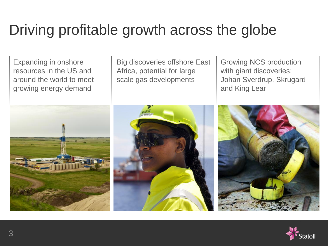### Driving profitable growth across the globe

Expanding in onshore resources in the US and around the world to meet growing energy demand



Growing NCS production with giant discoveries: Johan Sverdrup, Skrugard and King Lear



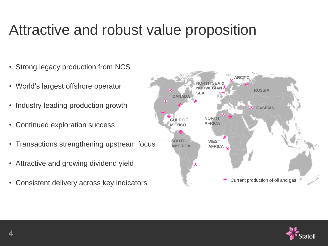#### Attractive and robust value proposition

- Strong legacy production from NCS
- World's largest offshore operator
- Industry-leading production growth
- Continued exploration success
- Transactions strengthening upstream focus
- Attractive and growing dividend yield
- Consistent delivery across key indicators



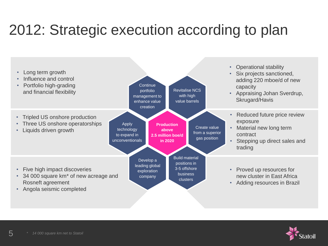### 2012: Strategic execution according to plan





5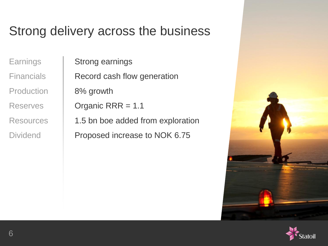#### Strong delivery across the business

Production | 8% growth

Earnings | Strong earnings Financials Record cash flow generation Reserves | Organic RRR = 1.1 Resources | 1.5 bn boe added from exploration

Dividend **Proposed increase to NOK 6.75** 



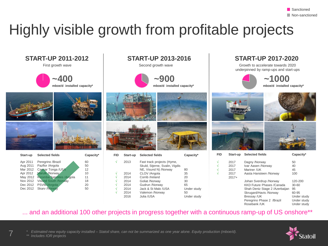### Highly visible growth from profitable projects

**~400 mboe/d installed capacity\***

| Start-up | <b>Selected fields</b>      | Capacity* |
|----------|-----------------------------|-----------|
| Apr 2011 | Peregrino /Brazil           | 60        |
| Aug 2011 | Pazflor /Angola             | 50        |
| Mar 2012 | Caesar Tonga /USA           | 12        |
| Apr 2012 | Marulk /Norway              | 10        |
| May 2012 | Kizomba Satellites / Angola | 11        |
| Nov 2012 | <b>Visund South /Norway</b> | 18        |
| Dec 2012 | PSVM/Angola                 | 20        |
| Dec 2012 | <b>Skarv /Norway</b>        | 50        |
|          |                             |           |







| FID | Start-up | <b>Selected fields</b>                                       | Capacity*   |
|-----|----------|--------------------------------------------------------------|-------------|
| N   | 2013     | Fast track projects (Hyme,<br>Skuld, Stjerne, Svalin, Vigdis |             |
|     |          | NE, Visund N) /Norway                                        | 80          |
| ٦   | 2014     | CLOV /Angola                                                 | 35          |
| Ñ   | 2014     | Corrib /Ireland                                              | 20          |
| N   | 2014     | Goliat /Norway                                               | 30          |
| N   | 2014     | Gudrun /Norway                                               | 65          |
| N   | 2014     | Jack & St Malo /USA                                          | Under study |
| N   | 2014     | Valemon /Norway                                              | 50          |
|     | 2016     | Julia /USA                                                   | Under study |

#### **START-UP 2011-2012 START-UP 2013-2016 START-UP 2017-2020**

underpinned by ramp-ups and start-ups





**√ √ √ √**







| FID | Start-up        | <b>Selected fields</b>           | Capacity*   |
|-----|-----------------|----------------------------------|-------------|
| V   | 2017            | Dagny /Norway                    | 50          |
| V   | 2017            | Ivar Aasen /Norway               | 40          |
| V   | 2017            | Mariner /UK                      | 45          |
| V   | 2017<br>$2017+$ | Aasta Hansteen /Norway           | 100         |
|     |                 | Johan Sverdrup / Norway          | 120-200     |
|     |                 | <b>KKD Future Phases /Canada</b> | $30 - 60$   |
|     |                 | Shah Deniz Stage 2 / Azerbaijan  | 95          |
|     |                 | Skrugard/Havis /Norway           | 60-95       |
|     |                 | Bressay /UK                      | Under study |
|     |                 | Peregrino Phase 2 / Brazil       | Under study |
|     |                 | Rosebank /UK                     | Under studv |

#### ... and an additional 100 other projects in progress together with a continuous ramp-up of US onshore\*\*



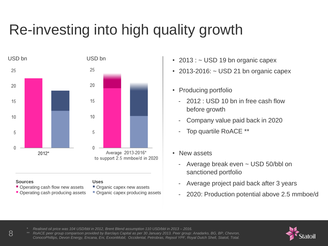## Re-investing into high quality growth



#### **Sources**

- Operating cash flow new assets
- Operating cash producing assets
- **Uses**
- Organic capex new assets
- **Organic capex producing assets**
- 2013 :  $\sim$  USD 19 bn organic capex
- 2013-2016:  $\sim$  USD 21 bn organic capex
- Producing portfolio
	- 2012 : USD 10 bn in free cash flow before growth
	- Company value paid back in 2020
	- Top quartile RoACE \*\*
- New assets
	- Average break even ~ USD 50/bbl on sanctioned portfolio
	- Average project paid back after 3 years
	- 2020: Production potential above 2.5 mmboe/d

*\* Realised oil price was 104 USD/bbl in 2012, Brent Blend assumption 110 USD/bbl in 2013 – 2016.*

*\*\* RoACE peer group comparison provided by Barclays Capital as per 30 January 2013. Peer group: Anadarko, BG, BP, Chevron, ConocoPhillips, Devon Energy, Encana, Eni, ExxonMobil, Occidental, Petrobras, Repsol YPF, Royal Dutch Shell, Statoil, Total.*

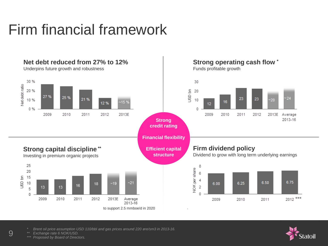## Firm financial framework



*\* Brent oil price assumption USD 110/bbl and gas prices around 220 øre/sm3 in 2013-16.*

*Exchange rate 6 NOK/USD.* 

9

*\*\*\* Proposed by Board of Directors.*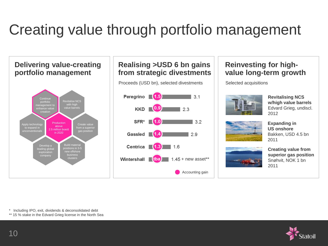## Creating value through portfolio management

**Delivering value-creating portfolio management** Revitalise NCS with high value barrels **Continue** management to enhance value

> Production above 2.5 million boe/d in 2020

nom a sapend<br>gas position

Build material positions in 3-5 new offshore business clusters

Create value from a superior

#### **Realising >USD 6 bn gains from strategic divestments**

Proceeds (USD bn), selected divestments Selected acquisitions



#### **Reinvesting for highvalue long-term growth**



**Revitalising NCS w/high value barrels** Edvard Grieg, undiscl. 2012



**Expanding in US onshore** Bakken, USD 4.5 bn 2011



**Creating value from superior gas position** Snøhvit, NOK 1 bn 2011

\* Including IPO, exit, dividends & deconsolidated debt

Develop a leading global exploration company

Apply technology to expand in uu capanu m<br>nconventional

\*\* 15 % stake in the Edvard Grieg license in the North Sea

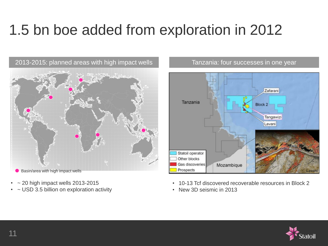## 1.5 bn boe added from exploration in 2012

Basin/area with high impact wells  $\bullet$ 

- $\sim$  20 high impact wells 2013-2015
- ~ USD 3.5 billion on exploration activity





- 10-13 Tcf discovered recoverable resources in Block 2
- New 3D seismic in 2013

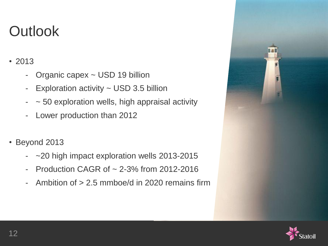### **Outlook**

- 2013
	- Organic capex ~ USD 19 billion
	- Exploration activity ~ USD 3.5 billion
	- $\sim$  50 exploration wells, high appraisal activity
	- Lower production than 2012
- Beyond 2013
	- ~20 high impact exploration wells 2013-2015
	- Production CAGR of ~ 2-3% from 2012-2016
	- Ambition of > 2.5 mmboe/d in 2020 remains firm